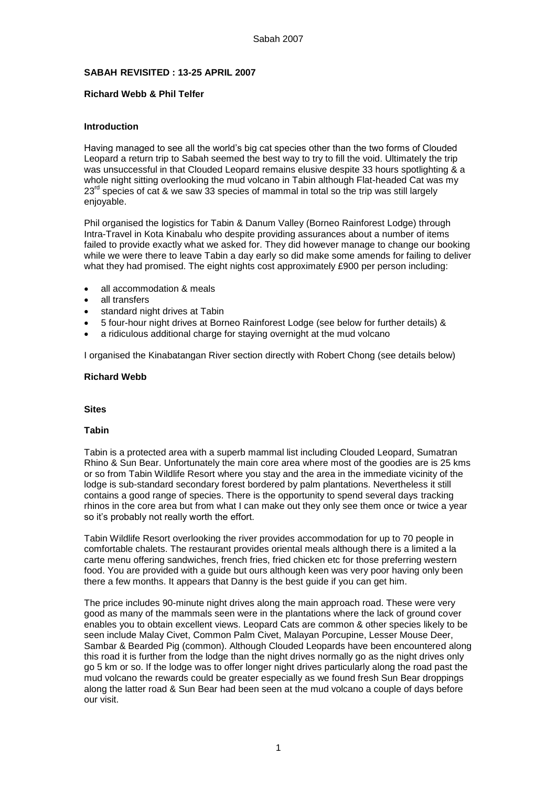## **SABAH REVISITED : 13-25 APRIL 2007**

## **Richard Webb & Phil Telfer**

## **Introduction**

Having managed to see all the world's big cat species other than the two forms of Clouded Leopard a return trip to Sabah seemed the best way to try to fill the void. Ultimately the trip was unsuccessful in that Clouded Leopard remains elusive despite 33 hours spotlighting & a whole night sitting overlooking the mud volcano in Tabin although Flat-headed Cat was my  $23<sup>rd</sup>$  species of cat & we saw 33 species of mammal in total so the trip was still largely enjoyable.

Phil organised the logistics for Tabin & Danum Valley (Borneo Rainforest Lodge) through Intra-Travel in Kota Kinabalu who despite providing assurances about a number of items failed to provide exactly what we asked for. They did however manage to change our booking while we were there to leave Tabin a day early so did make some amends for failing to deliver what they had promised. The eight nights cost approximately £900 per person including:

- all accommodation & meals
- all transfers
- standard night drives at Tabin
- 5 four-hour night drives at Borneo Rainforest Lodge (see below for further details) &
- a ridiculous additional charge for staying overnight at the mud volcano

I organised the Kinabatangan River section directly with Robert Chong (see details below)

## **Richard Webb**

#### **Sites**

#### **Tabin**

Tabin is a protected area with a superb mammal list including Clouded Leopard, Sumatran Rhino & Sun Bear. Unfortunately the main core area where most of the goodies are is 25 kms or so from Tabin Wildlife Resort where you stay and the area in the immediate vicinity of the lodge is sub-standard secondary forest bordered by palm plantations. Nevertheless it still contains a good range of species. There is the opportunity to spend several days tracking rhinos in the core area but from what I can make out they only see them once or twice a year so it's probably not really worth the effort.

Tabin Wildlife Resort overlooking the river provides accommodation for up to 70 people in comfortable chalets. The restaurant provides oriental meals although there is a limited a la carte menu offering sandwiches, french fries, fried chicken etc for those preferring western food. You are provided with a guide but ours although keen was very poor having only been there a few months. It appears that Danny is the best guide if you can get him.

The price includes 90-minute night drives along the main approach road. These were very good as many of the mammals seen were in the plantations where the lack of ground cover enables you to obtain excellent views. Leopard Cats are common & other species likely to be seen include Malay Civet, Common Palm Civet, Malayan Porcupine, Lesser Mouse Deer, Sambar & Bearded Pig (common). Although Clouded Leopards have been encountered along this road it is further from the lodge than the night drives normally go as the night drives only go 5 km or so. If the lodge was to offer longer night drives particularly along the road past the mud volcano the rewards could be greater especially as we found fresh Sun Bear droppings along the latter road & Sun Bear had been seen at the mud volcano a couple of days before our visit.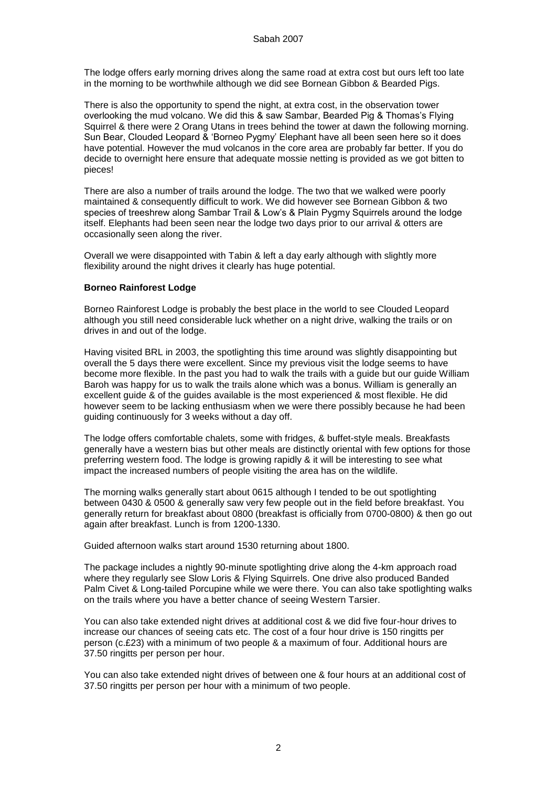The lodge offers early morning drives along the same road at extra cost but ours left too late in the morning to be worthwhile although we did see Bornean Gibbon & Bearded Pigs.

There is also the opportunity to spend the night, at extra cost, in the observation tower overlooking the mud volcano. We did this & saw Sambar, Bearded Pig & Thomas's Flying Squirrel & there were 2 Orang Utans in trees behind the tower at dawn the following morning. Sun Bear, Clouded Leopard & 'Borneo Pygmy' Elephant have all been seen here so it does have potential. However the mud volcanos in the core area are probably far better. If you do decide to overnight here ensure that adequate mossie netting is provided as we got bitten to pieces!

There are also a number of trails around the lodge. The two that we walked were poorly maintained & consequently difficult to work. We did however see Bornean Gibbon & two species of treeshrew along Sambar Trail & Low's & Plain Pygmy Squirrels around the lodge itself. Elephants had been seen near the lodge two days prior to our arrival & otters are occasionally seen along the river.

Overall we were disappointed with Tabin & left a day early although with slightly more flexibility around the night drives it clearly has huge potential.

#### **Borneo Rainforest Lodge**

Borneo Rainforest Lodge is probably the best place in the world to see Clouded Leopard although you still need considerable luck whether on a night drive, walking the trails or on drives in and out of the lodge.

Having visited BRL in 2003, the spotlighting this time around was slightly disappointing but overall the 5 days there were excellent. Since my previous visit the lodge seems to have become more flexible. In the past you had to walk the trails with a guide but our guide William Baroh was happy for us to walk the trails alone which was a bonus. William is generally an excellent guide & of the guides available is the most experienced & most flexible. He did however seem to be lacking enthusiasm when we were there possibly because he had been guiding continuously for 3 weeks without a day off.

The lodge offers comfortable chalets, some with fridges, & buffet-style meals. Breakfasts generally have a western bias but other meals are distinctly oriental with few options for those preferring western food. The lodge is growing rapidly & it will be interesting to see what impact the increased numbers of people visiting the area has on the wildlife.

The morning walks generally start about 0615 although I tended to be out spotlighting between 0430 & 0500 & generally saw very few people out in the field before breakfast. You generally return for breakfast about 0800 (breakfast is officially from 0700-0800) & then go out again after breakfast. Lunch is from 1200-1330.

Guided afternoon walks start around 1530 returning about 1800.

The package includes a nightly 90-minute spotlighting drive along the 4-km approach road where they regularly see Slow Loris & Flying Squirrels. One drive also produced Banded Palm Civet & Long-tailed Porcupine while we were there. You can also take spotlighting walks on the trails where you have a better chance of seeing Western Tarsier.

You can also take extended night drives at additional cost & we did five four-hour drives to increase our chances of seeing cats etc. The cost of a four hour drive is 150 ringitts per person (c.£23) with a minimum of two people & a maximum of four. Additional hours are 37.50 ringitts per person per hour.

You can also take extended night drives of between one & four hours at an additional cost of 37.50 ringitts per person per hour with a minimum of two people.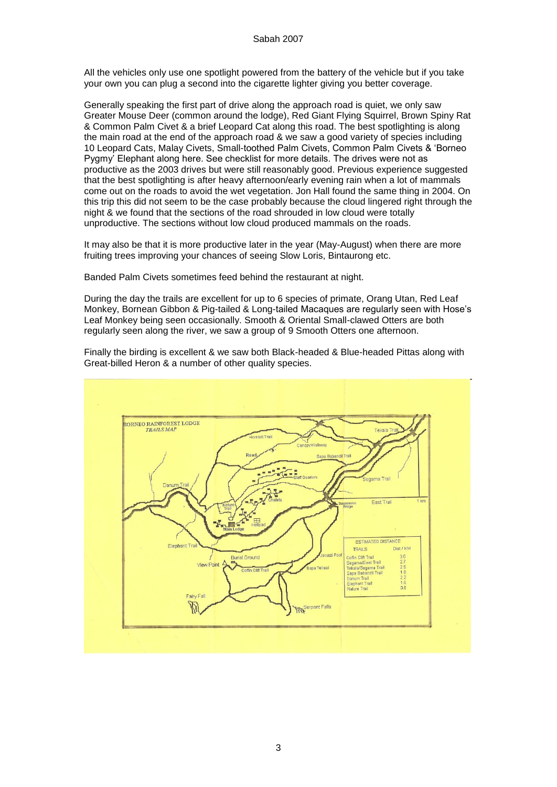All the vehicles only use one spotlight powered from the battery of the vehicle but if you take your own you can plug a second into the cigarette lighter giving you better coverage.

Generally speaking the first part of drive along the approach road is quiet, we only saw Greater Mouse Deer (common around the lodge), Red Giant Flying Squirrel, Brown Spiny Rat & Common Palm Civet & a brief Leopard Cat along this road. The best spotlighting is along the main road at the end of the approach road & we saw a good variety of species including 10 Leopard Cats, Malay Civets, Small-toothed Palm Civets, Common Palm Civets & 'Borneo Pygmy' Elephant along here. See checklist for more details. The drives were not as productive as the 2003 drives but were still reasonably good. Previous experience suggested that the best spotlighting is after heavy afternoon/early evening rain when a lot of mammals come out on the roads to avoid the wet vegetation. Jon Hall found the same thing in 2004. On this trip this did not seem to be the case probably because the cloud lingered right through the night & we found that the sections of the road shrouded in low cloud were totally unproductive. The sections without low cloud produced mammals on the roads.

It may also be that it is more productive later in the year (May-August) when there are more fruiting trees improving your chances of seeing Slow Loris, Bintaurong etc.

Banded Palm Civets sometimes feed behind the restaurant at night.

During the day the trails are excellent for up to 6 species of primate, Orang Utan, Red Leaf Monkey, Bornean Gibbon & Pig-tailed & Long-tailed Macaques are regularly seen with Hose's Leaf Monkey being seen occasionally. Smooth & Oriental Small-clawed Otters are both regularly seen along the river, we saw a group of 9 Smooth Otters one afternoon.

Finally the birding is excellent & we saw both Black-headed & Blue-headed Pittas along with Great-billed Heron & a number of other quality species.

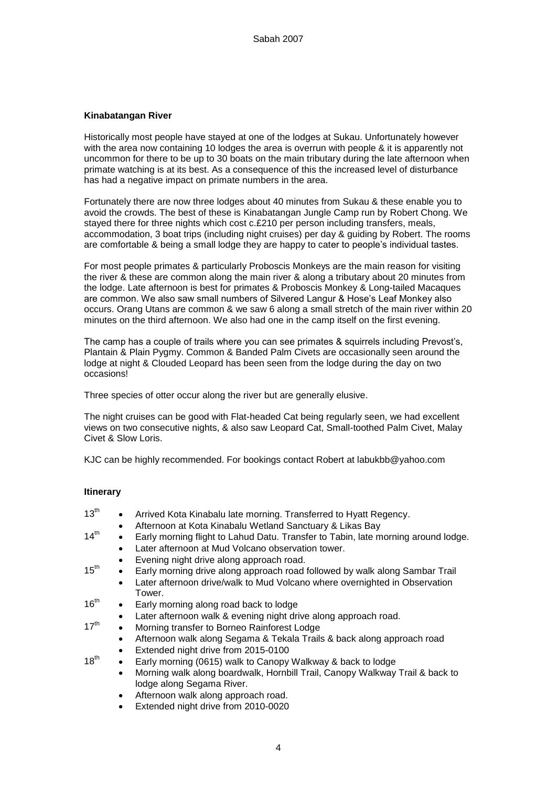## **Kinabatangan River**

Historically most people have stayed at one of the lodges at Sukau. Unfortunately however with the area now containing 10 lodges the area is overrun with people & it is apparently not uncommon for there to be up to 30 boats on the main tributary during the late afternoon when primate watching is at its best. As a consequence of this the increased level of disturbance has had a negative impact on primate numbers in the area.

Fortunately there are now three lodges about 40 minutes from Sukau & these enable you to avoid the crowds. The best of these is Kinabatangan Jungle Camp run by Robert Chong. We stayed there for three nights which cost c.£210 per person including transfers, meals, accommodation, 3 boat trips (including night cruises) per day & guiding by Robert. The rooms are comfortable & being a small lodge they are happy to cater to people's individual tastes.

For most people primates & particularly Proboscis Monkeys are the main reason for visiting the river & these are common along the main river & along a tributary about 20 minutes from the lodge. Late afternoon is best for primates & Proboscis Monkey & Long-tailed Macaques are common. We also saw small numbers of Silvered Langur & Hose's Leaf Monkey also occurs. Orang Utans are common & we saw 6 along a small stretch of the main river within 20 minutes on the third afternoon. We also had one in the camp itself on the first evening.

The camp has a couple of trails where you can see primates & squirrels including Prevost's, Plantain & Plain Pygmy. Common & Banded Palm Civets are occasionally seen around the lodge at night & Clouded Leopard has been seen from the lodge during the day on two occasions!

Three species of otter occur along the river but are generally elusive.

The night cruises can be good with Flat-headed Cat being regularly seen, we had excellent views on two consecutive nights, & also saw Leopard Cat, Small-toothed Palm Civet, Malay Civet & Slow Loris.

KJC can be highly recommended. For bookings contact Robert at labukbb@yahoo.com

## **Itinerary**

- $13<sup>th</sup>$  Arrived Kota Kinabalu late morning. Transferred to Hyatt Regency. Afternoon at Kota Kinabalu Wetland Sanctuary & Likas Bay  $14<sup>th</sup>$  Early morning flight to Lahud Datu. Transfer to Tabin, late morning around lodge. Later afternoon at Mud Volcano observation tower. Evening night drive along approach road.  $15<sup>th</sup>$  Early morning drive along approach road followed by walk along Sambar Trail Later afternoon drive/walk to Mud Volcano where overnighted in Observation Tower.  $16<sup>th</sup>$  Early morning along road back to lodge Later afternoon walk & evening night drive along approach road.  $17<sup>th</sup>$  Morning transfer to Borneo Rainforest Lodge Afternoon walk along Segama & Tekala Trails & back along approach road Extended night drive from 2015-0100  $18^{th}$  Early morning (0615) walk to Canopy Walkway & back to lodge Morning walk along boardwalk, Hornbill Trail, Canopy Walkway Trail & back to lodge along Segama River.
	- Afternoon walk along approach road.
	- Extended night drive from 2010-0020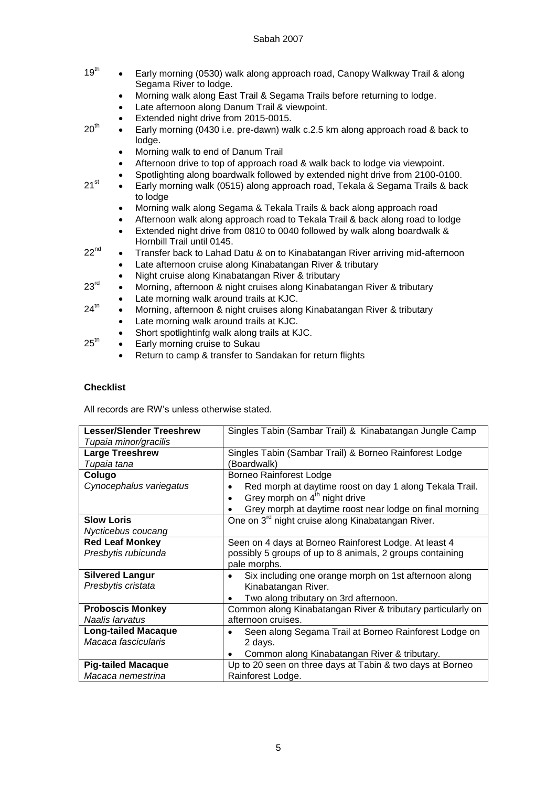- $19<sup>th</sup>$  Early morning (0530) walk along approach road, Canopy Walkway Trail & along Segama River to lodge.
	- Morning walk along East Trail & Segama Trails before returning to lodge.
	- Late afternoon along Danum Trail & viewpoint.
	- Extended night drive from 2015-0015.
- $20<sup>th</sup>$  Early morning (0430 i.e. pre-dawn) walk c.2.5 km along approach road & back to lodge.
	- Morning walk to end of Danum Trail
	- Afternoon drive to top of approach road & walk back to lodge via viewpoint.
	- Spotlighting along boardwalk followed by extended night drive from 2100-0100.
- $21^{st}$  Early morning walk (0515) along approach road, Tekala & Segama Trails & back to lodge
	- Morning walk along Segama & Tekala Trails & back along approach road
	- Afternoon walk along approach road to Tekala Trail & back along road to lodge
	- Extended night drive from 0810 to 0040 followed by walk along boardwalk & Hornbill Trail until 0145.

 $22<sup>nd</sup>$ Transfer back to Lahad Datu & on to Kinabatangan River arriving mid-afternoon

- Late afternoon cruise along Kinabatangan River & tributary
- Night cruise along Kinabatangan River & tributary

 $23<sup>rd</sup>$ Morning, afternoon & night cruises along Kinabatangan River & tributary

- Late morning walk around trails at KJC.  $24^{\text{th}}$ 
	- Morning, afternoon & night cruises along Kinabatangan River & tributary
	- Late morning walk around trails at KJC.
		- Short spotlightinfg walk along trails at KJC.
- $25<sup>th</sup>$  Early morning cruise to Sukau
	- Return to camp & transfer to Sandakan for return flights

# **Checklist**

All records are RW's unless otherwise stated.

| <b>Lesser/Slender Treeshrew</b> | Singles Tabin (Sambar Trail) & Kinabatangan Jungle Camp       |
|---------------------------------|---------------------------------------------------------------|
| Tupaia minor/gracilis           |                                                               |
| <b>Large Treeshrew</b>          | Singles Tabin (Sambar Trail) & Borneo Rainforest Lodge        |
| Tupaia tana                     | (Boardwalk)                                                   |
| Colugo                          | <b>Borneo Rainforest Lodge</b>                                |
| Cynocephalus variegatus         | Red morph at daytime roost on day 1 along Tekala Trail.       |
|                                 | Grey morph on 4 <sup>th</sup> night drive<br>$\bullet$        |
|                                 | Grey morph at daytime roost near lodge on final morning       |
| <b>Slow Loris</b>               | One on 3 <sup>rd</sup> night cruise along Kinabatangan River. |
| Nycticebus coucang              |                                                               |
| <b>Red Leaf Monkey</b>          | Seen on 4 days at Borneo Rainforest Lodge. At least 4         |
| Presbytis rubicunda             | possibly 5 groups of up to 8 animals, 2 groups containing     |
|                                 | pale morphs.                                                  |
| <b>Silvered Langur</b>          | Six including one orange morph on 1st afternoon along<br>٠    |
| Presbytis cristata              | Kinabatangan River.                                           |
|                                 | Two along tributary on 3rd afternoon.                         |
| <b>Proboscis Monkey</b>         | Common along Kinabatangan River & tributary particularly on   |
| Naalis larvatus                 | afternoon cruises.                                            |
| <b>Long-tailed Macaque</b>      | Seen along Segama Trail at Borneo Rainforest Lodge on         |
| Macaca fascicularis             | 2 days.                                                       |
|                                 | Common along Kinabatangan River & tributary.                  |
| <b>Pig-tailed Macaque</b>       | Up to 20 seen on three days at Tabin & two days at Borneo     |
| Macaca nemestrina               | Rainforest Lodge.                                             |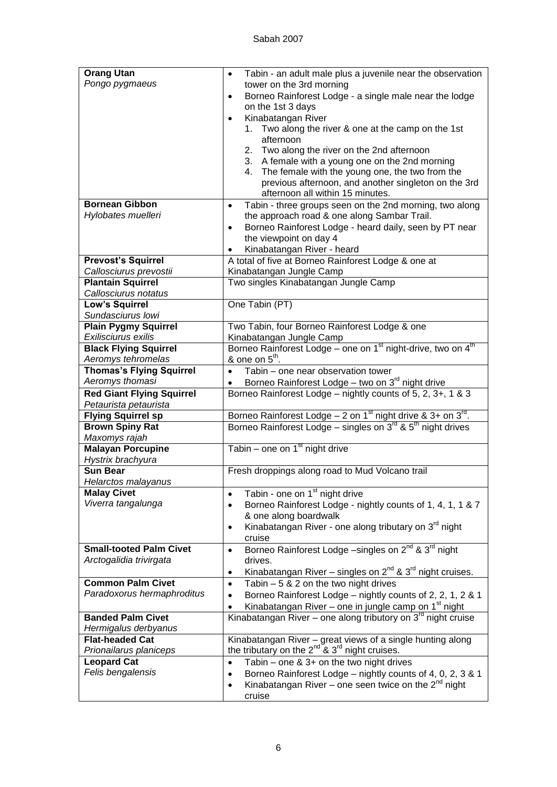| <b>Orang Utan</b>                                         | Tabin - an adult male plus a juvenile near the observation<br>$\bullet$                                             |
|-----------------------------------------------------------|---------------------------------------------------------------------------------------------------------------------|
| Pongo pygmaeus                                            | tower on the 3rd morning                                                                                            |
|                                                           | Borneo Rainforest Lodge - a single male near the lodge<br>$\bullet$                                                 |
|                                                           | on the 1st 3 days                                                                                                   |
|                                                           | Kinabatangan River<br>$\bullet$                                                                                     |
|                                                           | Two along the river & one at the camp on the 1st<br>1.                                                              |
|                                                           | afternoon                                                                                                           |
|                                                           | 2. Two along the river on the 2nd afternoon                                                                         |
|                                                           | 3. A female with a young one on the 2nd morning                                                                     |
|                                                           | The female with the young one, the two from the<br>4.                                                               |
|                                                           | previous afternoon, and another singleton on the 3rd                                                                |
| <b>Bornean Gibbon</b>                                     | afternoon all within 15 minutes.                                                                                    |
| Hylobates muelleri                                        | Tabin - three groups seen on the 2nd morning, two along<br>$\bullet$<br>the approach road & one along Sambar Trail. |
|                                                           | Borneo Rainforest Lodge - heard daily, seen by PT near<br>$\bullet$                                                 |
|                                                           | the viewpoint on day 4                                                                                              |
|                                                           | Kinabatangan River - heard                                                                                          |
| <b>Prevost's Squirrel</b>                                 | A total of five at Borneo Rainforest Lodge & one at                                                                 |
| Callosciurus prevostii                                    | Kinabatangan Jungle Camp                                                                                            |
| <b>Plantain Squirrel</b>                                  | Two singles Kinabatangan Jungle Camp                                                                                |
| Callosciurus notatus                                      |                                                                                                                     |
| <b>Low's Squirrel</b>                                     | One Tabin (PT)                                                                                                      |
| Sundasciurus Iowi                                         |                                                                                                                     |
| <b>Plain Pygmy Squirrel</b>                               | Two Tabin, four Borneo Rainforest Lodge & one                                                                       |
| Exilisciurus exilis                                       | Kinabatangan Jungle Camp                                                                                            |
| <b>Black Flying Squirrel</b>                              | Borneo Rainforest Lodge – one on 1 <sup>st</sup> night-drive, two on 4 <sup>th</sup>                                |
| Aeromys tehromelas                                        | & one on $5^{\text{th}}$ .                                                                                          |
| <b>Thomas's Flying Squirrel</b>                           | Tabin - one near observation tower<br>$\bullet$                                                                     |
| Aeromys thomasi                                           | Borneo Rainforest Lodge - two on 3 <sup>rd</sup> night drive<br>$\bullet$                                           |
| <b>Red Giant Flying Squirrel</b><br>Petaurista petaurista | Borneo Rainforest Lodge - nightly counts of 5, 2, 3+, 1 & 3                                                         |
| <b>Flying Squirrel sp</b>                                 | Borneo Rainforest Lodge – 2 on 1 <sup>st</sup> night drive & 3+ on $3^{rd}$ .                                       |
| <b>Brown Spiny Rat</b>                                    | Borneo Rainforest Lodge – singles on $3^{rd}$ & $5^{th}$ night drives                                               |
| Maxomys rajah                                             |                                                                                                                     |
| <b>Malayan Porcupine</b>                                  | Tabin – one on $1st$ night drive                                                                                    |
| Hystrix brachyura                                         |                                                                                                                     |
| <b>Sun Bear</b><br>Helarctos malayanus                    | Fresh droppings along road to Mud Volcano trail                                                                     |
| <b>Malay Civet</b>                                        | Tabin - one on 1 <sup>st</sup> night drive<br>$\bullet$                                                             |
| Viverra tangalunga                                        | Borneo Rainforest Lodge - nightly counts of 1, 4, 1, 1 & 7<br>$\bullet$                                             |
|                                                           | & one along boardwalk                                                                                               |
|                                                           | Kinabatangan River - one along tributary on 3 <sup>rd</sup> night<br>$\bullet$                                      |
|                                                           | cruise                                                                                                              |
| <b>Small-tooted Palm Civet</b>                            | Borneo Rainforest Lodge -singles on 2 <sup>nd</sup> & 3 <sup>rd</sup> night<br>$\bullet$                            |
| Arctogalidia trivirgata                                   | drives.                                                                                                             |
|                                                           | Kinabatangan River – singles on $2^{nd}$ & $3^{rd}$ night cruises.<br>$\bullet$                                     |
| <b>Common Palm Civet</b>                                  | Tabin $-5$ & 2 on the two night drives<br>$\bullet$                                                                 |
| Paradoxorus hermaphroditus                                | Borneo Rainforest Lodge - nightly counts of 2, 2, 1, 2 & 1<br>$\bullet$                                             |
|                                                           | Kinabatangan River – one in jungle camp on 1 <sup>st</sup> night<br>$\bullet$                                       |
| <b>Banded Palm Civet</b>                                  | Kinabatangan River – one along tributory on $3rd$ night cruise                                                      |
| Hermigalus derbyanus                                      |                                                                                                                     |
| <b>Flat-headed Cat</b>                                    | Kinabatangan River - great views of a single hunting along                                                          |
| Prionailarus planiceps                                    | the tributary on the $2^{nd}$ & $3^{rd}$ night cruises.                                                             |
| <b>Leopard Cat</b>                                        | Tabin – one $& 3+$ on the two night drives<br>$\bullet$                                                             |
| Felis bengalensis                                         | Borneo Rainforest Lodge - nightly counts of 4, 0, 2, 3 & 1<br>$\bullet$                                             |
|                                                           | Kinabatangan River – one seen twice on the $2^{nd}$ night<br>$\bullet$                                              |
|                                                           | cruise                                                                                                              |